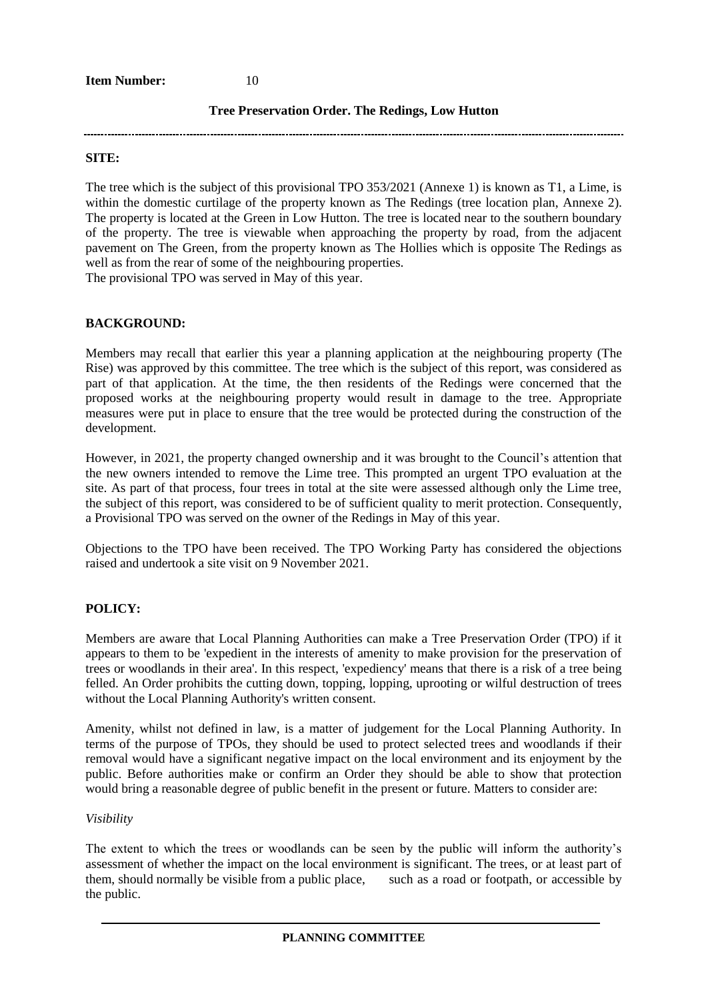**Item Number:** 10

### **Tree Preservation Order. The Redings, Low Hutton**

#### **SITE:**

The tree which is the subject of this provisional TPO 353/2021 (Annexe 1) is known as T1, a Lime, is within the domestic curtilage of the property known as The Redings (tree location plan, Annexe 2). The property is located at the Green in Low Hutton. The tree is located near to the southern boundary of the property. The tree is viewable when approaching the property by road, from the adjacent pavement on The Green, from the property known as The Hollies which is opposite The Redings as well as from the rear of some of the neighbouring properties.

The provisional TPO was served in May of this year.

### **BACKGROUND:**

Members may recall that earlier this year a planning application at the neighbouring property (The Rise) was approved by this committee. The tree which is the subject of this report, was considered as part of that application. At the time, the then residents of the Redings were concerned that the proposed works at the neighbouring property would result in damage to the tree. Appropriate measures were put in place to ensure that the tree would be protected during the construction of the development.

However, in 2021, the property changed ownership and it was brought to the Council's attention that the new owners intended to remove the Lime tree. This prompted an urgent TPO evaluation at the site. As part of that process, four trees in total at the site were assessed although only the Lime tree, the subject of this report, was considered to be of sufficient quality to merit protection. Consequently, a Provisional TPO was served on the owner of the Redings in May of this year.

Objections to the TPO have been received. The TPO Working Party has considered the objections raised and undertook a site visit on 9 November 2021.

### **POLICY:**

Members are aware that Local Planning Authorities can make a Tree Preservation Order (TPO) if it appears to them to be 'expedient in the interests of amenity to make provision for the preservation of trees or woodlands in their area'. In this respect, 'expediency' means that there is a risk of a tree being felled. An Order prohibits the cutting down, topping, lopping, uprooting or wilful destruction of trees without the Local Planning Authority's written consent.

Amenity, whilst not defined in law, is a matter of judgement for the Local Planning Authority. In terms of the purpose of TPOs, they should be used to protect selected trees and woodlands if their removal would have a significant negative impact on the local environment and its enjoyment by the public. Before authorities make or confirm an Order they should be able to show that protection would bring a reasonable degree of public benefit in the present or future. Matters to consider are:

### *Visibility*

The extent to which the trees or woodlands can be seen by the public will inform the authority's assessment of whether the impact on the local environment is significant. The trees, or at least part of them, should normally be visible from a public place, such as a road or footpath, or accessible by the public.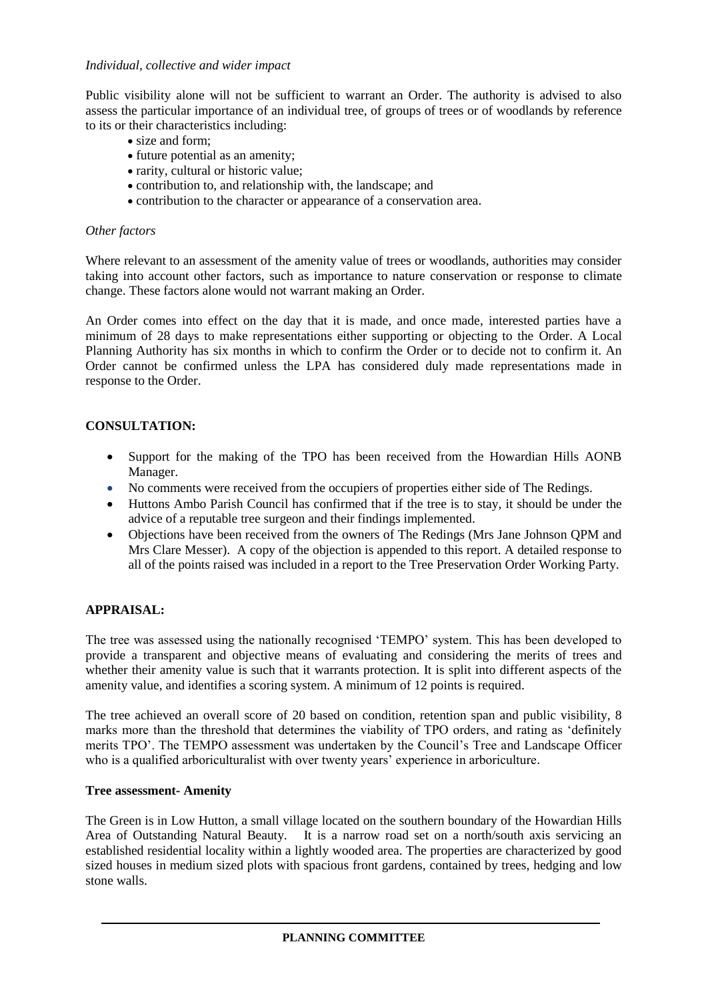## *Individual, collective and wider impact*

Public visibility alone will not be sufficient to warrant an Order. The authority is advised to also assess the particular importance of an individual tree, of groups of trees or of woodlands by reference to its or their characteristics including:

- size and form:
- future potential as an amenity;
- rarity, cultural or historic value;
- contribution to, and relationship with, the landscape; and
- contribution to the character or appearance of a conservation area.

### *Other factors*

Where relevant to an assessment of the amenity value of trees or woodlands, authorities may consider taking into account other factors, such as importance to nature conservation or response to climate change. These factors alone would not warrant making an Order.

An Order comes into effect on the day that it is made, and once made, interested parties have a minimum of 28 days to make representations either supporting or objecting to the Order. A Local Planning Authority has six months in which to confirm the Order or to decide not to confirm it. An Order cannot be confirmed unless the LPA has considered duly made representations made in response to the Order.

# **CONSULTATION:**

- Support for the making of the TPO has been received from the Howardian Hills AONB Manager.
- No comments were received from the occupiers of properties either side of The Redings.
- Huttons Ambo Parish Council has confirmed that if the tree is to stay, it should be under the advice of a reputable tree surgeon and their findings implemented.
- Objections have been received from the owners of The Redings (Mrs Jane Johnson QPM and Mrs Clare Messer). A copy of the objection is appended to this report. A detailed response to all of the points raised was included in a report to the Tree Preservation Order Working Party.

# **APPRAISAL:**

The tree was assessed using the nationally recognised 'TEMPO' system. This has been developed to provide a transparent and objective means of evaluating and considering the merits of trees and whether their amenity value is such that it warrants protection. It is split into different aspects of the amenity value, and identifies a scoring system. A minimum of 12 points is required.

The tree achieved an overall score of 20 based on condition, retention span and public visibility, 8 marks more than the threshold that determines the viability of TPO orders, and rating as 'definitely merits TPO'. The TEMPO assessment was undertaken by the Council's Tree and Landscape Officer who is a qualified arboriculturalist with over twenty years' experience in arboriculture.

# **Tree assessment- Amenity**

The Green is in Low Hutton, a small village located on the southern boundary of the Howardian Hills Area of Outstanding Natural Beauty. It is a narrow road set on a north/south axis servicing an established residential locality within a lightly wooded area. The properties are characterized by good sized houses in medium sized plots with spacious front gardens, contained by trees, hedging and low stone walls.